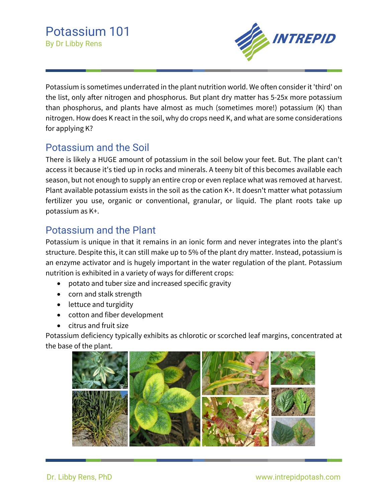

Potassium is sometimes underrated in the plant nutrition world. We often consider it 'third' on the list, only after nitrogen and phosphorus. But plant dry matter has 5-25x more potassium than phosphorus, and plants have almost as much (sometimes more!) potassium (K) than nitrogen. How does K react in the soil, why do crops need K, and what are some considerations for applying K?

## Potassium and the Soil

There is likely a HUGE amount of potassium in the soil below your feet. But. The plant can't access it because it's tied up in rocks and minerals. A teeny bit of this becomes available each season, but not enough to supply an entire crop or even replace what was removed at harvest. Plant available potassium exists in the soil as the cation K+. It doesn't matter what potassium fertilizer you use, organic or conventional, granular, or liquid. The plant roots take up potassium as K+.

## Potassium and the Plant

Potassium is unique in that it remains in an ionic form and never integrates into the plant's structure. Despite this, it can still make up to 5% of the plant dry matter. Instead, potassium is an enzyme activator and is hugely important in the water regulation of the plant. Potassium nutrition is exhibited in a variety of ways for different crops:

- potato and tuber size and increased specific gravity
- corn and stalk strength
- lettuce and turgidity
- cotton and fiber development
- citrus and fruit size

Potassium deficiency typically exhibits as chlorotic or scorched leaf margins, concentrated at the base of the plant.